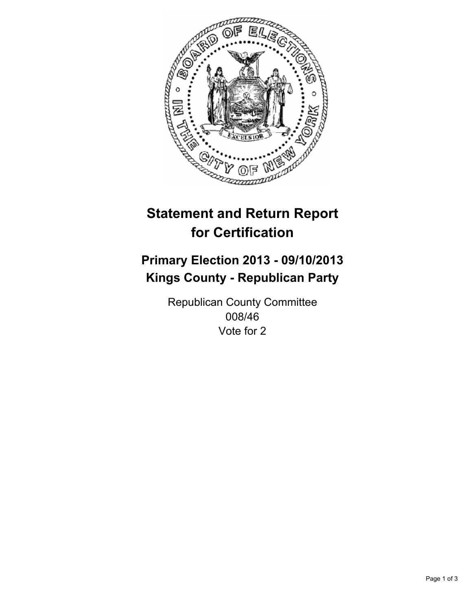

# **Statement and Return Report for Certification**

## **Primary Election 2013 - 09/10/2013 Kings County - Republican Party**

Republican County Committee 008/46 Vote for 2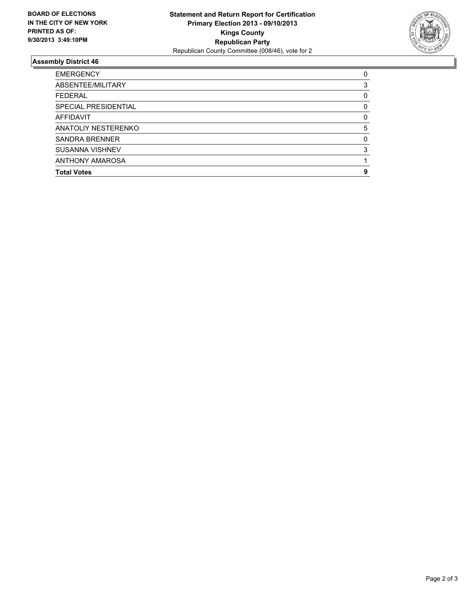

### **Assembly District 46**

| <b>EMERGENCY</b>       | 0        |
|------------------------|----------|
| ABSENTEE/MILITARY      | 3        |
| <b>FEDERAL</b>         | 0        |
| SPECIAL PRESIDENTIAL   | 0        |
| AFFIDAVIT              | $\Omega$ |
| ANATOLIY NESTERENKO    | 5        |
| <b>SANDRA BRENNER</b>  | $\Omega$ |
| <b>SUSANNA VISHNEV</b> | 3        |
| <b>ANTHONY AMAROSA</b> |          |
| <b>Total Votes</b>     | 9        |